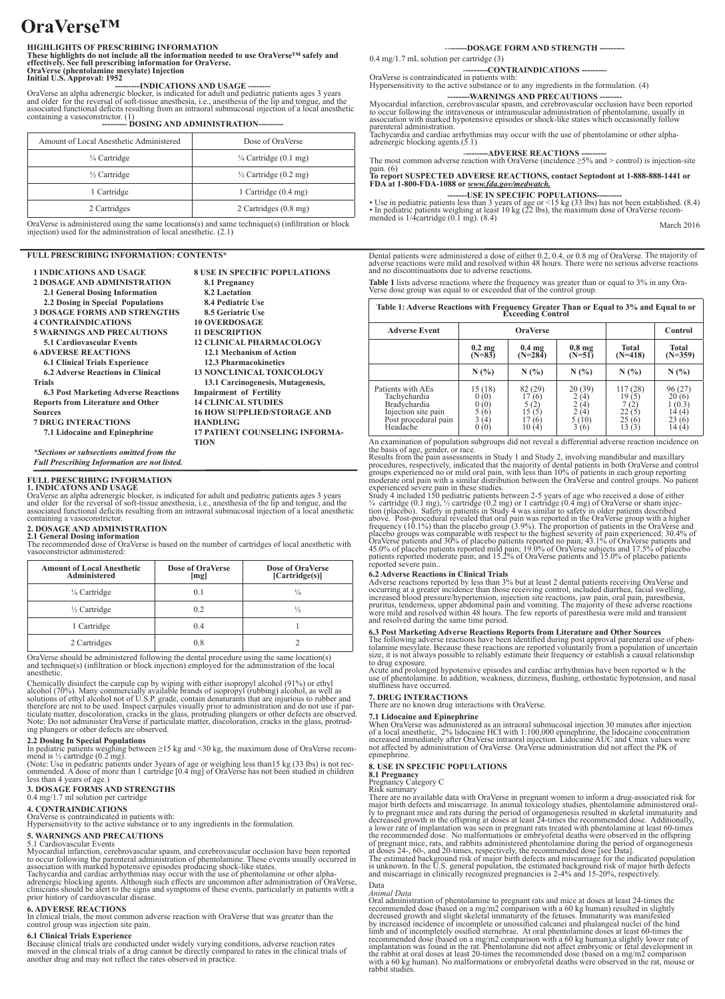# **OraVerse™**

## **HIGHLIGHTS OF PRESCRIBING INFORMATION**

**These highlights do not include all the information needed to use OraVerse™ safely and effectively. See full prescribing information for OraVerse. OraVerse (phentolamine mesylate) Injection** 

**Initial U.S. Approval: 1952**<br>OraVerse an alpha adrenergic blocker, is indicated for adult and pediatric patients ages 3 years<br>OraVerse an alpha adrenergic blocker, is indicated for adult and pediatric pianal onge, and the

| Amount of Local Anesthetic Administered | Dose of OraVerse                 |  |
|-----------------------------------------|----------------------------------|--|
| 1/4 Cartridge                           | $\frac{1}{4}$ Cartridge (0.1 mg) |  |
| 1/2 Cartridge                           | $\frac{1}{2}$ Cartridge (0.2 mg) |  |
| 1 Cartridge                             | 1 Cartridge $(0.4 \text{ mg})$   |  |
| 2 Cartridges                            | 2 Cartridges (0.8 mg)            |  |

OraVerse is administered using the same locations(s) and same technique(s) (infiltration or block injection) used for the administration of local anesthetic. (2.1)

## **FULL PRESCRIBING INFORMATION: CONTENTS\***

| <b>1 INDICATIONS AND USAGE</b>                      | <b>8 USE IN SPECIFIC POPULATIONS</b>  |
|-----------------------------------------------------|---------------------------------------|
| <b>2 DOSAGE AND ADMINISTRATION</b>                  | 8.1 Pregnancy                         |
| 2.1 General Dosing Information                      | 8.2 Lactation                         |
| 2.2 Dosing in Special Populations                   | 8.4 Pediatric Use                     |
| <b>3 DOSAGE FORMS AND STRENGTHS</b>                 | <b>8.5 Geriatric Use</b>              |
| <b>4 CONTRAINDICATIONS</b>                          | <b>10 OVERDOSAGE</b>                  |
| <b>5 WARNINGS AND PRECAUTIONS</b>                   | <b>11 DESCRIPTION</b>                 |
| <b>5.1 Cardiovascular Events</b>                    | <b>12 CLINICAL PHARMACOLOGY</b>       |
| <b>6 ADVERSE REACTIONS</b>                          | 12.1 Mechanism of Action              |
| <b>6.1 Clinical Trials Experience</b>               | 12.3 Pharmacokinetics                 |
| <b>6.2 Adverse Reactions in Clinical</b>            | <b>13 NONCLINICAL TOXICOLOGY</b>      |
| <b>Trials</b>                                       | 13.1 Carcinogenesis, Mutagenesis,     |
| <b>6.3 Post Marketing Adverse Reactions</b>         | <b>Impairment of Fertility</b>        |
| <b>Reports from Literature and Other</b>            | <b>14 CLINICAL STUDIES</b>            |
| <b>Sources</b>                                      | <b>16 HOW SUPPLIED/STORAGE AND</b>    |
| <b>7 DRUG INTERACTIONS</b>                          | <b>HANDLING</b>                       |
| 7.1 Lidocaine and Epinephrine                       | <b>17 PATIENT COUNSELING INFORMA-</b> |
|                                                     | <b>TION</b>                           |
| *Sections or subsections omitted from the           |                                       |
| <b>Full Prescribing Information are not listed.</b> |                                       |

## **FULL PRESCRIBING INFORMATION**

**1. INDICATONS AND USAGE**<br>OraVerse an alpha adrenergic blocker, is indicated for adult and pediatric patients ages 3 years<br>and older for the reversal of soft-tissue anesthesia, i.e., anesthesia of the lip and tongue, and t associated functional deficits resulting from an intraoral submucosal injection of a local anesthetic containing a vasoconstrictor.

**2. DOSAGE AND ADMINISTRATION 2.1 General Dosing information** The recommended dose of OraVerse is based on the number of cartridges of local anesthetic with vasoconstrictor administered:

| <b>Amount of Local Anesthetic</b><br>Administered | <b>Dose of OraVerse</b><br>[mg] | Dose of OraVerse<br>[Cartridge(s)] |  |
|---------------------------------------------------|---------------------------------|------------------------------------|--|
| 1/4 Cartridge                                     | 0 <sub>1</sub>                  | $\frac{1}{4}$                      |  |
| 1/2 Cartridge                                     | 0 <sub>2</sub>                  |                                    |  |
| 1 Cartridge                                       | 04                              |                                    |  |
| 2 Cartridges                                      | 08                              |                                    |  |

OraVerse should be administered following the dental procedure using the same location(s) and technique(s) (infiltration or block injection) employed for the administration of the local anesthetic.

Chemically disinfect the carpule cap by wiping with either isopropyl alcohol (91%) or ethyl<br>alcohol (70%). Many commercially available brands of isopropyl (rubbing) alcohol, as well as<br>solutions of ethyl alcohol not of U. Note: Do not administer OraVerse if particulate matter, discoloration, cracks in the glass, protrud- ing plungers or other defects are observed.

**2.2 Dosing In Special Populations**<br>In pediatric patients weighing between ≥15 kg and <30 kg, the maximum dose of OraVerse recom-<br>mend is ½ cartridge (0.2 mg).

(Note: Use in pediatric patients under 3years of age or weighing less than15 kg (33 lbs) is not rec- ommended. A dose of more than 1 cartridge [0.4 mg] of OraVerse has not been studied in children less than 4 years of age.)

# **3. DOSAGE FORMS AND STRENGTHS** 0.4 mg/1.7 ml solution per cartridge

# **4. CONTRAINDICATIONS**

OraVerse is contraindicated in patients with: Hypersensitivity to the active substance or to any ingredients in the formulation.

## **5. WARNINGS AND PRECAUTIONS**

5.1 Cardiovascular Events<br>Myocardial infarction, cerebrovascular spasm, and cerebrovascular coclusion have been reported<br>Myocardial infarction, cerebrovascular spasm, and cerebrovascular coclusion have been reported<br>in the

## **6. ADVERSE REACTIONS**

In clinical trials, the most common adverse reaction with OraVerse that was greater than the control group was injection site pain.

## **6.1 Clinical Trials Experience**

Because clinical trials are conducted under widely varying conditions, adverse reaction rates<br>moved in the clinical trials of a drug cannot be directly compared to rates in the clinical trials of<br>another drug and may not r

--**------DOSAGE FORM AND STRENGTH ---------**

0.4 mg/1.7 mL solution per cartridge (3)

-**--------CONTRAINDICATIONS ---------** OraVerse is contraindicated in patients with:

Hypersensitivity to the active substance or to any ingredients in the formulation. (4)

Myocardial infarction, cerebrovascular spasm, and cerebrovascular occurs in epoted<br>to occur following the intravenous or intramuscular apartments of the<br>control of the intravenous or intramuscular administration of phentol

-**--------ADVERSE REACTIONS ---------** The most common adverse reaction with OraVerse (incidence ≥5% and > control) is injection-site

pain. (6)<br>To report SUSPECTED ADVERSE REACTIONS, contact Septodont at 1-888-888-1441 or<br>**FDA at 1-800-FDA-1088** or <u>www.fda.gov/medwatch.</u>

**-------USE IN SPECIFIC POPULATIONS---------** • Use in pediatric patients less than 3 years of age or <15 kg (33 lbs) has not been established. (8.4) • In pediatric patients weighing at least 10 kg (22 lbs), the maximum dose of OraVerse recom- mended is 1/4cartridge (0.1 mg). (8.4) March 2016

Dental patients were administered a dose of either  $0.2$ ,  $0.4$ , or  $0.8$  mg of  $OraVerse$ . The majority of adverse reactions were mild and resolved within 48 hours. There were no serious adverse reactions and no discontinua

Table 1 lists adverse reactions where the frequency was greater than or equal to 3% in any Ora-Verse dose group was equal to or exceeded that of the control group.

| Table 1: Adverse Reactions with Frequency Greater Than or Equal to 3% and Equal to or<br>Exceeding Control   |                                                           |                                                           |                                                              |                                                      |                                                             |  |  |
|--------------------------------------------------------------------------------------------------------------|-----------------------------------------------------------|-----------------------------------------------------------|--------------------------------------------------------------|------------------------------------------------------|-------------------------------------------------------------|--|--|
| <b>Adverse Event</b>                                                                                         | <b>OraVerse</b>                                           |                                                           |                                                              |                                                      | Control                                                     |  |  |
|                                                                                                              | $0.2 \text{ mg}$<br>$(N=83)$                              | 0.4 <sub>mg</sub><br>$(N=284)$                            | 0.8 <sub>mg</sub><br>$(N=51)$                                | <b>Total</b><br>$(N=418)$                            | <b>Total</b><br>$(N=359)$                                   |  |  |
|                                                                                                              | N(%)                                                      | N(%)                                                      | N(%)                                                         | N(%)                                                 | N(%)                                                        |  |  |
| Patients with AEs<br>Tachychardia<br>Bradychardia<br>Injection site pain<br>Post procedural pain<br>Headache | 15 (18)<br>(0)<br>(0)<br>$\mathbf{0}$<br>(6)<br>Ί4<br>(0) | 82 (29)<br>17<br>(6)<br>5 (2)<br>15<br>Ĭ5<br>(6)<br>10(4) | 20(39)<br>'41<br>$\frac{2}{2}$<br>'4<br>'4<br>5(10)<br>3 (6) | 117 (28)<br>19(5)<br>7(2)<br>22<br>25<br>66<br>13(3) | 96(27)<br>20(6)<br>1 (0.3)<br>14 (4)<br>23<br>(6)<br>14 (4) |  |  |

An examination of population subgroups did not reveal a differential adverse reaction incidence on<br>the basis of age, gender, or race.<br>Results from the pain assessments in Study 1 and Study 2, involving mandibular and maxil

experienced severe pain in these studies.<br>Study 4 included 150 pediatric patients between 2-5 years of age who received a dose of either 1/4 cartridge (0.1 mg) 1/6 cartridge (0.2 mg) or 1 cartridge (0.4 mg) of OraVerse or above. Post-procedural revealed that oral pain was reported in the OraVerse group with a higher<br>frequency (10.1%) than the placebo group (3.9%). The proportion of patients in the OraVerse and<br>placebo groups was comparable

6.2 Adverse Reactions in Clinical Trials<br>Adverse reactions in Clinical Trials<br>Adverse reactions reported by less than 3% but at least 2 dental patients receiving OraVerse and<br>occurring at a greater incidence than those rec

## **6.3 Post Marketing Adverse Reactions Reports from Literature and Other Sources**

The following adverse reactions have been identified during post approval parenteral use of phen-<br>tolamine mesylate. Because these reactions are reported voluntarily from a population of uncertain<br>size, it is not always po to drug exposure.

Acute and prolonged hypotensive episodes and cardiac arrhythmias have been reported w h the use of phentolamine. In addition, weakness, dizziness, flushing, orthostatic hypotension, and nasal stuffiness have occurred.

### **7. DRUG INTERACTIONS**

ere are no known drug interactions with OraVerse.

7.1 Lidocaine and Epinephrine<br>When OraVerse was administered as an intraoral submucosal injection 30 minutes after injection<br>of a local anesthetic, 2% lidocaine HCI with 1:100,000 epinephrine, the lidocaine concentration<br>i

## **8. USE IN SPECIFIC POPULATIONS**

**8.1 Pregnancy** Pregnancy Category C

Risk summary<br>
The are monoration and the state and the compared in pregnant women to inform a drug-associated risk for<br>
There are no available data with OraVerse in pregnant women to inform a drug-associated risk for<br>
hy t

### Data *Animal Data*

Oral administration of phentolamine to pregnant rats and mice at doses at least 24-times the recommended dose (based on a mg/m2 comparison with a 60 kg human) resulted in slightly decreased growth and slight skeletal immat implantation was found in the rat. Phentolamine did not affect embryonic or fetal development in<br>the rabbit at oral doses at least 20-times the recommended dose (based on a mg/m2 comparison<br>with a 60 kg human). No malforma